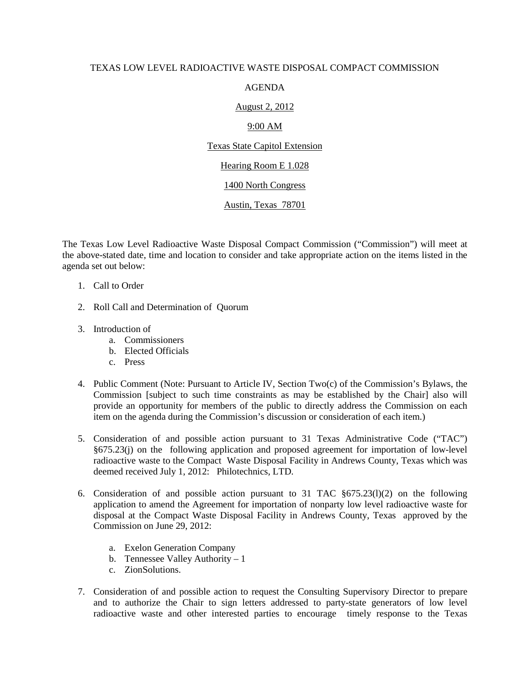#### TEXAS LOW LEVEL RADIOACTIVE WASTE DISPOSAL COMPACT COMMISSION

### AGENDA

# August 2, 2012

# 9:00 AM

Texas State Capitol Extension

#### Hearing Room E 1.028

#### 1400 North Congress

# Austin, Texas 78701

The Texas Low Level Radioactive Waste Disposal Compact Commission ("Commission") will meet at the above-stated date, time and location to consider and take appropriate action on the items listed in the agenda set out below:

- 1. Call to Order
- 2. Roll Call and Determination of Quorum
- 3. Introduction of
	- a. Commissioners
	- b. Elected Officials
	- c. Press
- 4. Public Comment (Note: Pursuant to Article IV, Section Two(c) of the Commission's Bylaws, the Commission [subject to such time constraints as may be established by the Chair] also will provide an opportunity for members of the public to directly address the Commission on each item on the agenda during the Commission's discussion or consideration of each item.)
- 5. Consideration of and possible action pursuant to 31 Texas Administrative Code ("TAC") §675.23(j) on the following application and proposed agreement for importation of low-level radioactive waste to the Compact Waste Disposal Facility in Andrews County, Texas which was deemed received July 1, 2012: Philotechnics, LTD.
- 6. Consideration of and possible action pursuant to 31 TAC  $\S675.23(1)(2)$  on the following application to amend the Agreement for importation of nonparty low level radioactive waste for disposal at the Compact Waste Disposal Facility in Andrews County, Texas approved by the Commission on June 29, 2012:
	- a. Exelon Generation Company
	- b. Tennessee Valley Authority 1
	- c. ZionSolutions.
- 7. Consideration of and possible action to request the Consulting Supervisory Director to prepare and to authorize the Chair to sign letters addressed to party-state generators of low level radioactive waste and other interested parties to encourage timely response to the Texas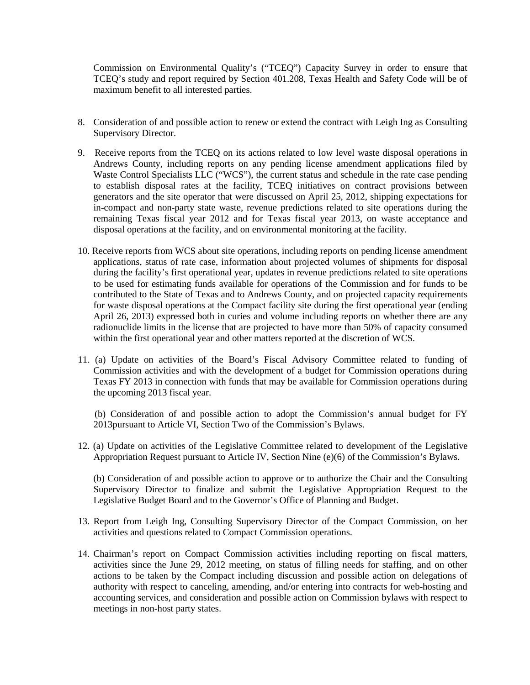Commission on Environmental Quality's ("TCEQ") Capacity Survey in order to ensure that TCEQ's study and report required by Section 401.208, Texas Health and Safety Code will be of maximum benefit to all interested parties.

- 8. Consideration of and possible action to renew or extend the contract with Leigh Ing as Consulting Supervisory Director.
- 9. Receive reports from the TCEQ on its actions related to low level waste disposal operations in Andrews County, including reports on any pending license amendment applications filed by Waste Control Specialists LLC ("WCS"), the current status and schedule in the rate case pending to establish disposal rates at the facility, TCEQ initiatives on contract provisions between generators and the site operator that were discussed on April 25, 2012, shipping expectations for in-compact and non-party state waste, revenue predictions related to site operations during the remaining Texas fiscal year 2012 and for Texas fiscal year 2013, on waste acceptance and disposal operations at the facility, and on environmental monitoring at the facility.
- 10. Receive reports from WCS about site operations, including reports on pending license amendment applications, status of rate case, information about projected volumes of shipments for disposal during the facility's first operational year, updates in revenue predictions related to site operations to be used for estimating funds available for operations of the Commission and for funds to be contributed to the State of Texas and to Andrews County, and on projected capacity requirements for waste disposal operations at the Compact facility site during the first operational year (ending April 26, 2013) expressed both in curies and volume including reports on whether there are any radionuclide limits in the license that are projected to have more than 50% of capacity consumed within the first operational year and other matters reported at the discretion of WCS.
- 11. (a) Update on activities of the Board's Fiscal Advisory Committee related to funding of Commission activities and with the development of a budget for Commission operations during Texas FY 2013 in connection with funds that may be available for Commission operations during the upcoming 2013 fiscal year.

 (b) Consideration of and possible action to adopt the Commission's annual budget for FY 2013pursuant to Article VI, Section Two of the Commission's Bylaws.

12. (a) Update on activities of the Legislative Committee related to development of the Legislative Appropriation Request pursuant to Article IV, Section Nine (e)(6) of the Commission's Bylaws.

(b) Consideration of and possible action to approve or to authorize the Chair and the Consulting Supervisory Director to finalize and submit the Legislative Appropriation Request to the Legislative Budget Board and to the Governor's Office of Planning and Budget.

- 13. Report from Leigh Ing, Consulting Supervisory Director of the Compact Commission, on her activities and questions related to Compact Commission operations.
- 14. Chairman's report on Compact Commission activities including reporting on fiscal matters, activities since the June 29, 2012 meeting, on status of filling needs for staffing, and on other actions to be taken by the Compact including discussion and possible action on delegations of authority with respect to canceling, amending, and/or entering into contracts for web-hosting and accounting services, and consideration and possible action on Commission bylaws with respect to meetings in non-host party states.